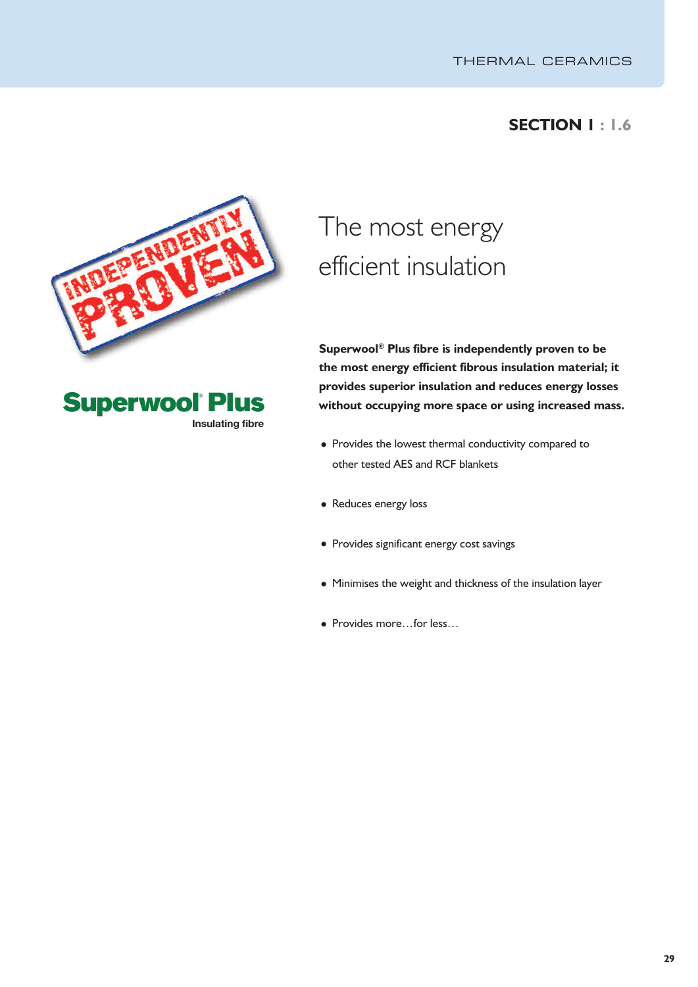## **SECTION 1 : 1.6**





# The most energy efficient insulation

**Superwool ® Plus fibre is independently proven to be the most energy efficient fibrous insulation material; it provides superior insulation and reduces energy losses without occupying more space or using increased mass.**

- Provides the lowest thermal conductivity compared to other tested AES and RCF blankets
- Reduces energy loss
- Provides significant energy cost savings
- Minimises the weight and thickness of the insulation layer
- Provides more…for less…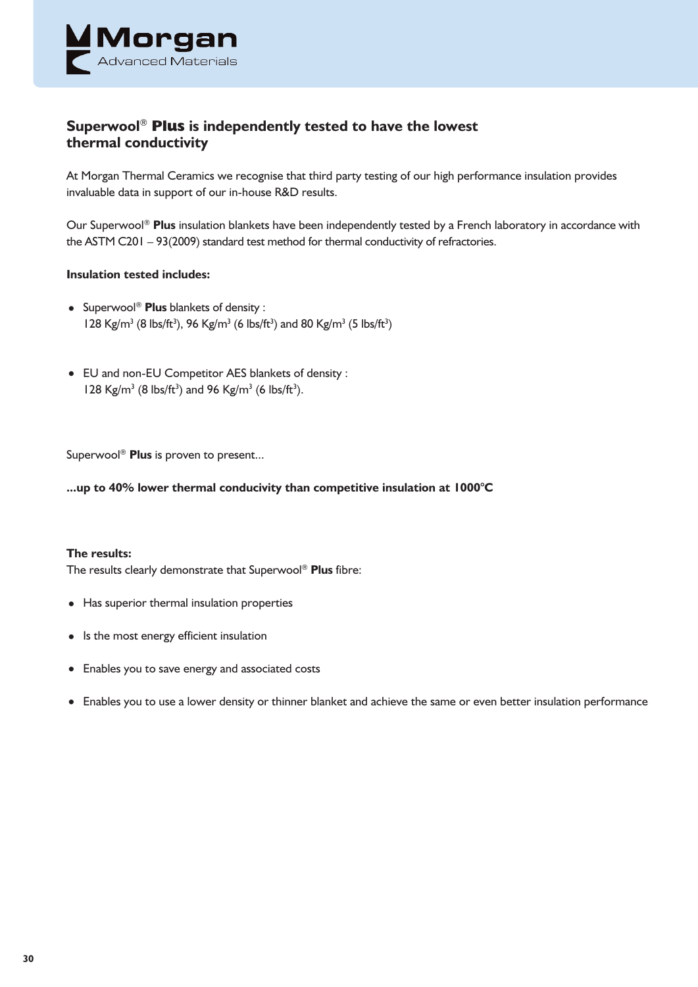

### **Superwool** ® **Plus is independently tested to have the lowest thermal conductivity**

At Morgan Thermal Ceramics we recognise that third party testing of our high performance insulation provides invaluable data in support of our in-house R&D results.

Our Superwool ® **Plus** insulation blankets have been independently tested by a French laboratory in accordance with the ASTM C201 – 93(2009) standard test method for thermal conductivity of refractories.

#### **Insulation tested includes:**

- Superwool ® **Plus** blankets of density : 128 Kg/m<sup>3</sup> (8 lbs/ft<sup>3</sup>), 96 Kg/m<sup>3</sup> (6 lbs/ft<sup>3</sup>) and 80 Kg/m<sup>3</sup> (5 lbs/ft<sup>3</sup>)
- EU and non-EU Competitor AES blankets of density : 128 Kg/m<sup>3</sup> (8 lbs/ft<sup>3</sup>) and 96 Kg/m<sup>3</sup> (6 lbs/ft<sup>3</sup>).

Superwool ® **Plus** is proven to present...

**...up to 40% lower thermal conducivity than competitive insulation at 1000°C**

#### **The results:**

The results clearly demonstrate that Superwool ® **Plus** fibre:

- Has superior thermal insulation properties
- Is the most energy efficient insulation
- Enables you to save energy and associated costs
- Enables you to use a lower density or thinner blanket and achieve the same or even better insulation performance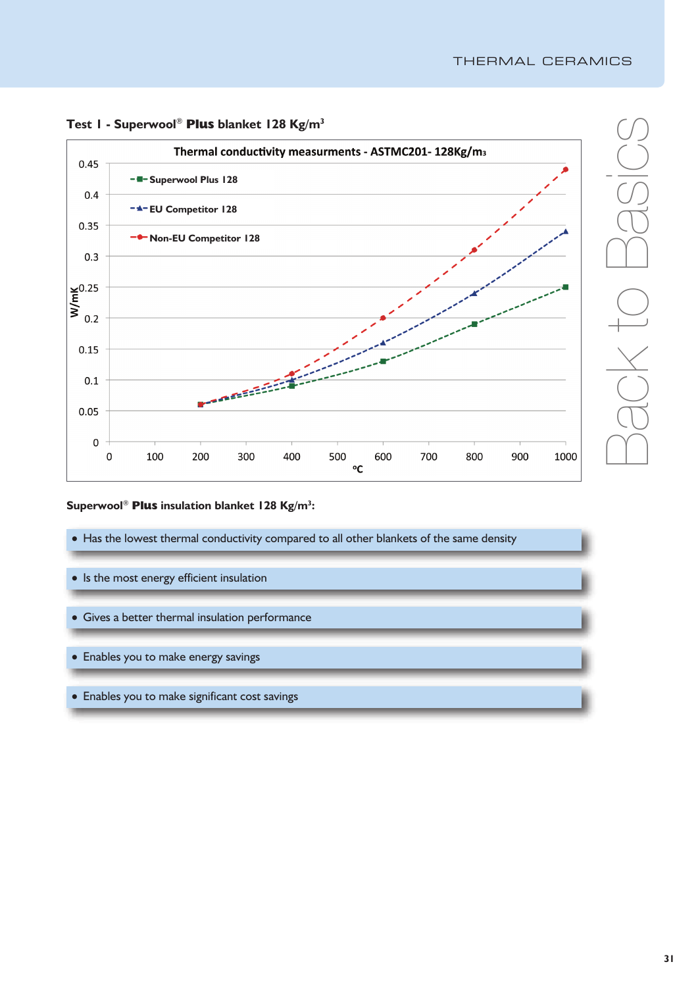

**Test 1 - Superwool** ® **Plus blanket 128 Kg/m3**

#### **Superwool** ® **Plus insulation blanket 128 Kg/m3 :**

- Has the lowest thermal conductivity compared to all other blankets of the same density
- Is the most energy efficient insulation
- Gives a better thermal insulation performance
- Enables you to make energy savings
- Enables you to make significant cost savings

 $\bigcap$ 

 $\sqrt{2}$ 

 $\bigcirc$ 

 $\overline{\times}$ 

 $\overline{\phantom{a}}$ o

 $\bigcap$ 

 $\sqrt{2}$ 

 $-\frac{C}{C}$ 

 $\bigcirc$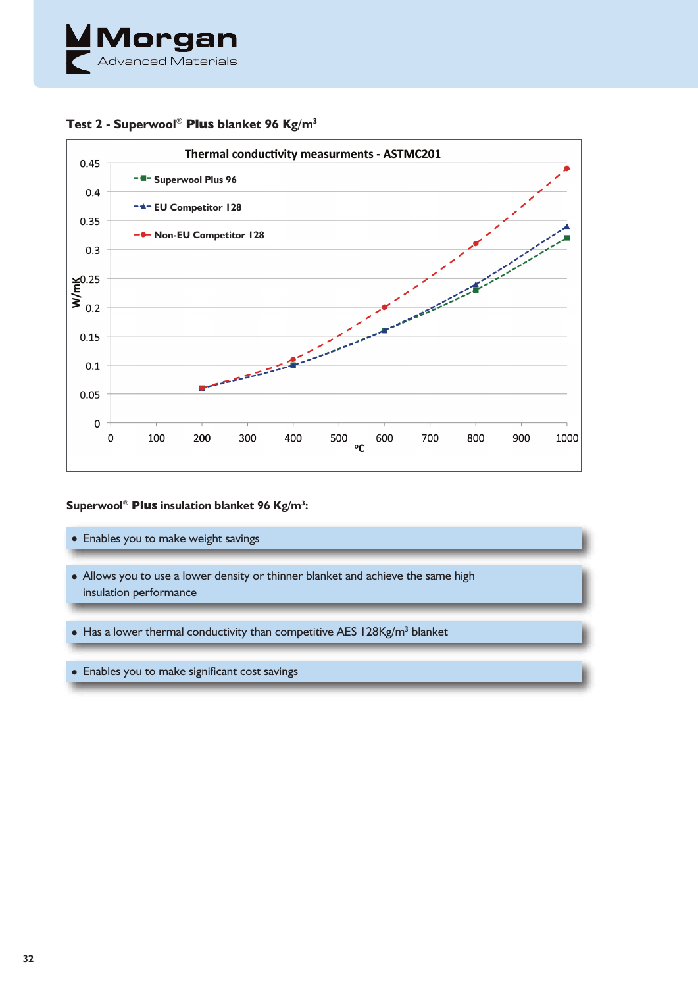



#### **Test 2 - Superwool** ® **Plus blanket 96 Kg/m3**

#### **Superwool** ® **Plus insulation blanket 96 Kg/m3 :**

- Enables you to make weight savings • Allows you to use a lower density or thinner blanket and achieve the same high insulation performance  $\bullet$  Has a lower thermal conductivity than competitive AES 128Kg/m<sup>3</sup> blanket
- Enables you to make significant cost savings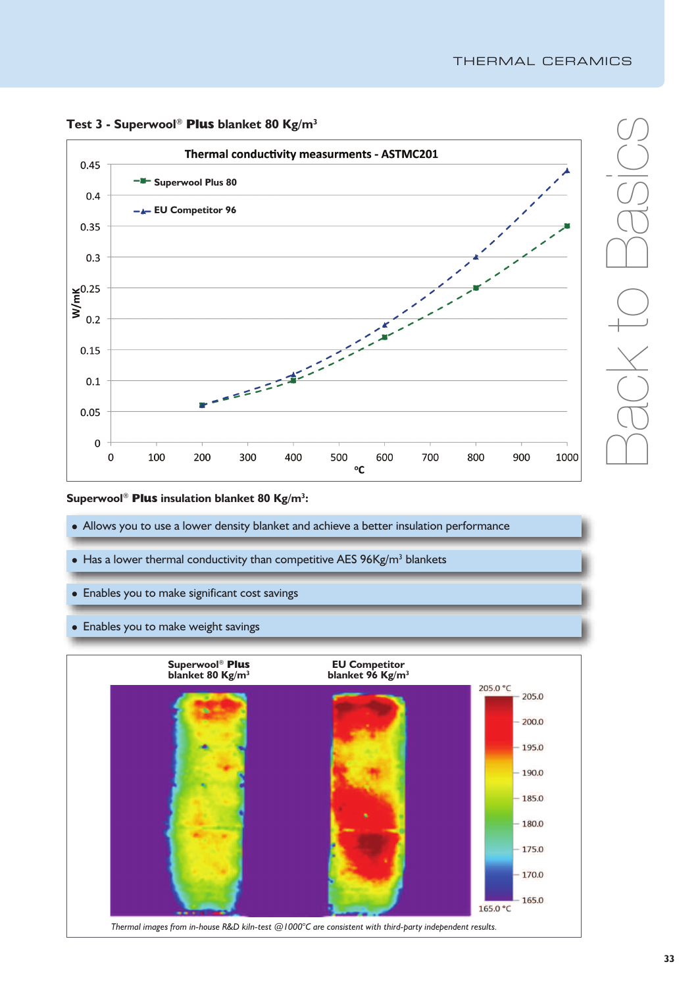

### **Test 3 - Superwool** ® **Plus blanket 80 Kg/m3**

#### **Superwool** ® **Plus insulation blanket 80 Kg/m3 :**

- Allows you to use a lower density blanket and achieve a better insulation performance
- Has a lower thermal conductivity than competitive AES  $96Kg/m<sup>3</sup>$  blankets
- Enables you to make significant cost savings
- Enables you to make weight savings



 $\bigcap$ 

 $\sqrt{2}$ 

 $\bigcirc$ 

 $\overline{\times}$ 

 $\overline{\phantom{a}}$ o

 $\bigcap$ 

 $\sqrt{2}$ 

 $-\frac{C}{C}$ 

 $\bigcirc$